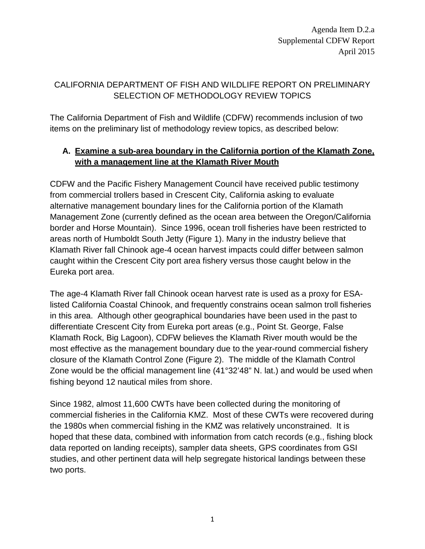Agenda Item D.2.a Supplemental CDFW Report April 2015

## CALIFORNIA DEPARTMENT OF FISH AND WILDLIFE REPORT ON PRELIMINARY SELECTION OF METHODOLOGY REVIEW TOPICS

The California Department of Fish and Wildlife (CDFW) recommends inclusion of two items on the preliminary list of methodology review topics, as described below:

## **A. Examine a sub-area boundary in the California portion of the Klamath Zone, with a management line at the Klamath River Mouth**

CDFW and the Pacific Fishery Management Council have received public testimony from commercial trollers based in Crescent City, California asking to evaluate alternative management boundary lines for the California portion of the Klamath Management Zone (currently defined as the ocean area between the Oregon/California border and Horse Mountain). Since 1996, ocean troll fisheries have been restricted to areas north of Humboldt South Jetty (Figure 1). Many in the industry believe that Klamath River fall Chinook age-4 ocean harvest impacts could differ between salmon caught within the Crescent City port area fishery versus those caught below in the Eureka port area.

The age-4 Klamath River fall Chinook ocean harvest rate is used as a proxy for ESAlisted California Coastal Chinook, and frequently constrains ocean salmon troll fisheries in this area. Although other geographical boundaries have been used in the past to differentiate Crescent City from Eureka port areas (e.g., Point St. George, False Klamath Rock, Big Lagoon), CDFW believes the Klamath River mouth would be the most effective as the management boundary due to the year-round commercial fishery closure of the Klamath Control Zone (Figure 2). The middle of the Klamath Control Zone would be the official management line (41°32'48" N. lat.) and would be used when fishing beyond 12 nautical miles from shore.

Since 1982, almost 11,600 CWTs have been collected during the monitoring of commercial fisheries in the California KMZ. Most of these CWTs were recovered during the 1980s when commercial fishing in the KMZ was relatively unconstrained. It is hoped that these data, combined with information from catch records (e.g., fishing block data reported on landing receipts), sampler data sheets, GPS coordinates from GSI studies, and other pertinent data will help segregate historical landings between these two ports.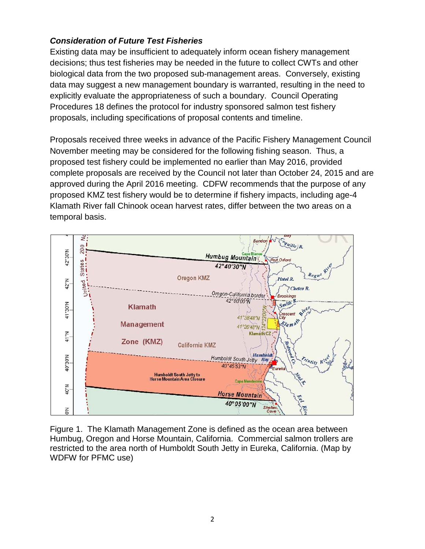## *Consideration of Future Test Fisheries*

Existing data may be insufficient to adequately inform ocean fishery management decisions; thus test fisheries may be needed in the future to collect CWTs and other biological data from the two proposed sub-management areas. Conversely, existing data may suggest a new management boundary is warranted, resulting in the need to explicitly evaluate the appropriateness of such a boundary. Council Operating Procedures 18 defines the protocol for industry sponsored salmon test fishery proposals, including specifications of proposal contents and timeline.

Proposals received three weeks in advance of the Pacific Fishery Management Council November meeting may be considered for the following fishing season. Thus, a proposed test fishery could be implemented no earlier than May 2016, provided complete proposals are received by the Council not later than October 24, 2015 and are approved during the April 2016 meeting. CDFW recommends that the purpose of any proposed KMZ test fishery would be to determine if fishery impacts, including age-4 Klamath River fall Chinook ocean harvest rates, differ between the two areas on a temporal basis.



Figure 1. The Klamath Management Zone is defined as the ocean area between Humbug, Oregon and Horse Mountain, California. Commercial salmon trollers are restricted to the area north of Humboldt South Jetty in Eureka, California. (Map by WDFW for PFMC use)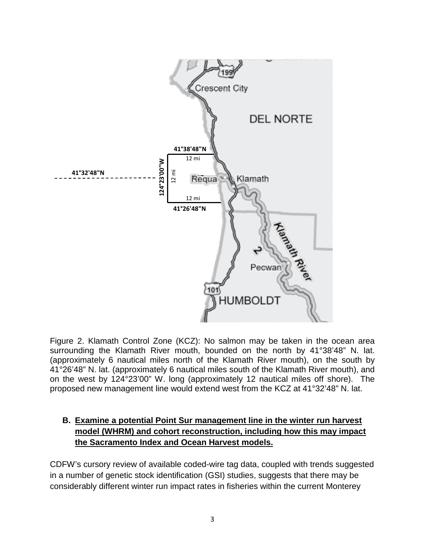

Figure 2. Klamath Control Zone (KCZ): No salmon may be taken in the ocean area surrounding the Klamath River mouth, bounded on the north by 41°38'48" N. lat. (approximately 6 nautical miles north of the Klamath River mouth), on the south by 41°26'48" N. lat. (approximately 6 nautical miles south of the Klamath River mouth), and on the west by 124°23'00" W. long (approximately 12 nautical miles off shore). The proposed new management line would extend west from the KCZ at 41°32'48" N. lat.

## **B. Examine a potential Point Sur management line in the winter run harvest model (WHRM) and cohort reconstruction, including how this may impact the Sacramento Index and Ocean Harvest models.**

CDFW's cursory review of available coded-wire tag data, coupled with trends suggested in a number of genetic stock identification (GSI) studies, suggests that there may be considerably different winter run impact rates in fisheries within the current Monterey